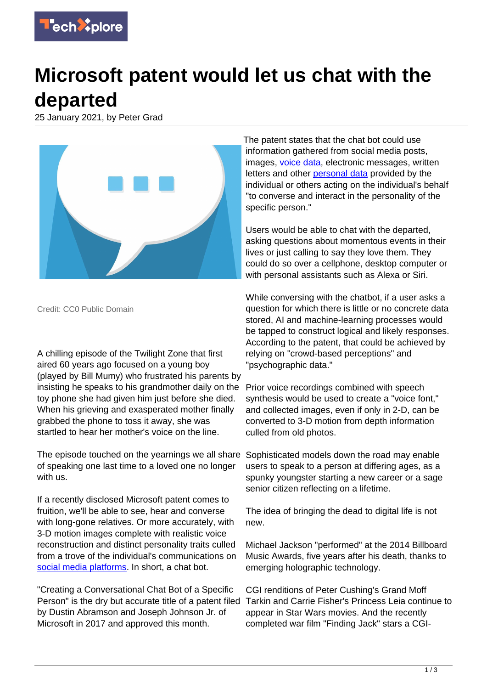

## **Microsoft patent would let us chat with the departed**

25 January 2021, by Peter Grad



Credit: CC0 Public Domain

A chilling episode of the Twilight Zone that first aired 60 years ago focused on a young boy (played by Bill Mumy) who frustrated his parents by insisting he speaks to his grandmother daily on the toy phone she had given him just before she died. When his grieving and exasperated mother finally grabbed the phone to toss it away, she was startled to hear her mother's voice on the line.

The episode touched on the yearnings we all share of speaking one last time to a loved one no longer with us.

If a recently disclosed Microsoft patent comes to fruition, we'll be able to see, hear and converse with long-gone relatives. Or more accurately, with 3-D motion images complete with realistic voice reconstruction and distinct personality traits culled from a trove of the individual's communications on [social media platforms.](https://techxplore.com/tags/social+media+platforms/) In short, a chat bot.

"Creating a Conversational Chat Bot of a Specific Person" is the dry but accurate title of a patent filed by Dustin Abramson and Joseph Johnson Jr. of Microsoft in 2017 and approved this month.

The patent states that the chat bot could use information gathered from social media posts, images, [voice data](https://techxplore.com/tags/voice+data/), electronic messages, written letters and other **personal data** provided by the individual or others acting on the individual's behalf "to converse and interact in the personality of the specific person."

Users would be able to chat with the departed, asking questions about momentous events in their lives or just calling to say they love them. They could do so over a cellphone, desktop computer or with personal assistants such as Alexa or Siri.

While conversing with the chatbot, if a user asks a question for which there is little or no concrete data stored, AI and machine-learning processes would be tapped to construct logical and likely responses. According to the patent, that could be achieved by relying on "crowd-based perceptions" and "psychographic data."

Prior voice recordings combined with speech synthesis would be used to create a "voice font," and collected images, even if only in 2-D, can be converted to 3-D motion from depth information culled from old photos.

Sophisticated models down the road may enable users to speak to a person at differing ages, as a spunky youngster starting a new career or a sage senior citizen reflecting on a lifetime.

The idea of bringing the dead to digital life is not new.

Michael Jackson "performed" at the 2014 Billboard Music Awards, five years after his death, thanks to emerging holographic technology.

CGI renditions of Peter Cushing's Grand Moff Tarkin and Carrie Fisher's Princess Leia continue to appear in Star Wars movies. And the recently completed war film "Finding Jack" stars a CGI-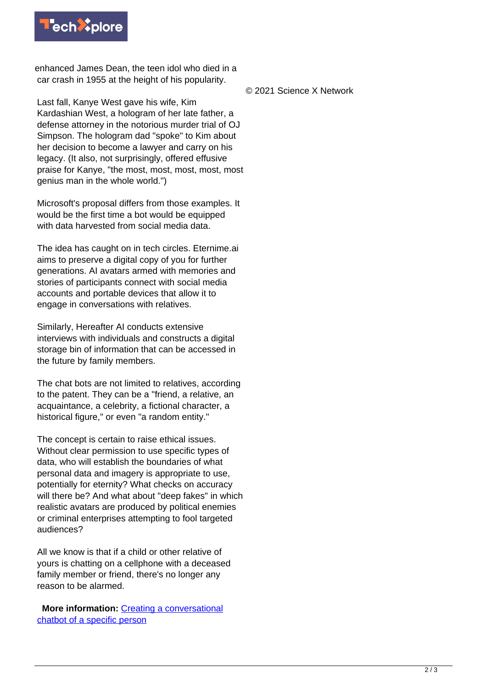

enhanced James Dean, the teen idol who died in a car crash in 1955 at the height of his popularity.

Last fall, Kanye West gave his wife, Kim Kardashian West, a hologram of her late father, a defense attorney in the notorious murder trial of OJ Simpson. The hologram dad "spoke" to Kim about her decision to become a lawyer and carry on his legacy. (It also, not surprisingly, offered effusive praise for Kanye, "the most, most, most, most, most genius man in the whole world.")

Microsoft's proposal differs from those examples. It would be the first time a bot would be equipped with data harvested from social media data.

The idea has caught on in tech circles. Eternime.ai aims to preserve a digital copy of you for further generations. AI avatars armed with memories and stories of participants connect with social media accounts and portable devices that allow it to engage in conversations with relatives.

Similarly, Hereafter AI conducts extensive interviews with individuals and constructs a digital storage bin of information that can be accessed in the future by family members.

The chat bots are not limited to relatives, according to the patent. They can be a "friend, a relative, an acquaintance, a celebrity, a fictional character, a historical figure," or even "a random entity."

The concept is certain to raise ethical issues. Without clear permission to use specific types of data, who will establish the boundaries of what personal data and imagery is appropriate to use, potentially for eternity? What checks on accuracy will there be? And what about "deep fakes" in which realistic avatars are produced by political enemies or criminal enterprises attempting to fool targeted audiences?

All we know is that if a child or other relative of yours is chatting on a cellphone with a deceased family member or friend, there's no longer any reason to be alarmed.

 **More information:** [Creating a conversational](https://pdfpiw.uspto.gov/.piw?PageNum=0&docid=10853717&IDKey=6E72242A6301&HomeUrl=http%3A%2F%2Fpatft.uspto.gov%2Fnetacgi%2Fnph-Parser%3FSect1%3DPTO2%2526Sect2%3DHITOFF%2526p%3D1%2526u%3D%25252Fnetahtml%25252FPTO%25252Fsearch-bool.html%2526r%3D31%2526f%3DG%2526l%3D50%2526co1%3DAND%2526d%3DPTXT%2526s1%3Dmicrosoft.ASNM.%2526OS%3DAN%2Fmicrosoft%2526RS%3DAN%2Fmicrosoft) [chatbot of a specific person](https://pdfpiw.uspto.gov/.piw?PageNum=0&docid=10853717&IDKey=6E72242A6301&HomeUrl=http%3A%2F%2Fpatft.uspto.gov%2Fnetacgi%2Fnph-Parser%3FSect1%3DPTO2%2526Sect2%3DHITOFF%2526p%3D1%2526u%3D%25252Fnetahtml%25252FPTO%25252Fsearch-bool.html%2526r%3D31%2526f%3DG%2526l%3D50%2526co1%3DAND%2526d%3DPTXT%2526s1%3Dmicrosoft.ASNM.%2526OS%3DAN%2Fmicrosoft%2526RS%3DAN%2Fmicrosoft)

© 2021 Science X Network